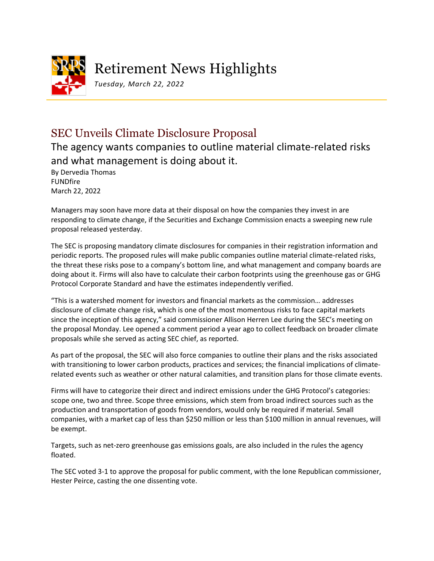

## Retirement News Highlights

*Tuesday, March 22, 2022*

## SEC Unveils Climate Disclosure Proposal

The agency wants companies to outline material climate-related risks and what management is doing about it.

By Dervedia Thomas FUNDfire March 22, 2022

Managers may soon have more data at their disposal on how the companies they invest in are responding to climate change, if the Securities and Exchange Commission enacts a sweeping new rule proposal released yesterday.

The SEC is proposing mandatory climate disclosures for companies in their registration information and periodic reports. The proposed rules will make public companies outline material climate-related risks, the threat these risks pose to a company's bottom line, and what management and company boards are doing about it. Firms will also have to calculate their carbon footprints using the greenhouse gas or GHG Protocol Corporate Standard and have the estimates independently verified.

"This is a watershed moment for investors and financial markets as the commission… addresses disclosure of climate change risk, which is one of the most momentous risks to face capital markets since the inception of this agency," said commissioner Allison Herren Lee during the SEC's meeting on the proposal Monday. Lee opened a comment period a year ago to collect feedback on broader climate proposals while she served as acting SEC chief, as reported.

As part of the proposal, the SEC will also force companies to outline their plans and the risks associated with transitioning to lower carbon products, practices and services; the financial implications of climaterelated events such as weather or other natural calamities, and transition plans for those climate events.

Firms will have to categorize their direct and indirect emissions under the GHG Protocol's categories: scope one, two and three. Scope three emissions, which stem from broad indirect sources such as the production and transportation of goods from vendors, would only be required if material. Small companies, with a market cap of less than \$250 million or less than \$100 million in annual revenues, will be exempt.

Targets, such as net-zero greenhouse gas emissions goals, are also included in the rules the agency floated.

The SEC voted 3-1 to approve the proposal for public comment, with the lone Republican commissioner, Hester Peirce, casting the one dissenting vote.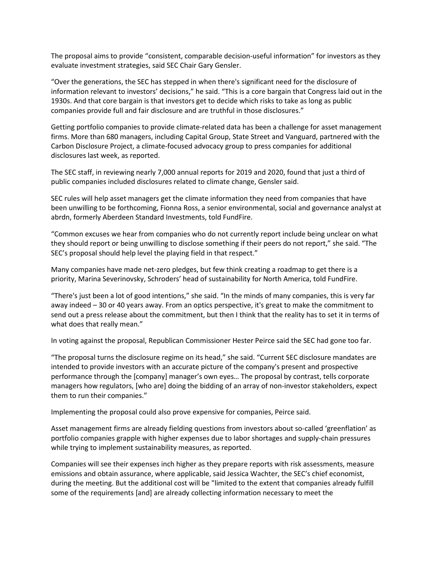The proposal aims to provide "consistent, comparable decision-useful information" for investors as they evaluate investment strategies, said SEC Chair Gary Gensler.

"Over the generations, the SEC has stepped in when there's significant need for the disclosure of information relevant to investors' decisions," he said. "This is a core bargain that Congress laid out in the 1930s. And that core bargain is that investors get to decide which risks to take as long as public companies provide full and fair disclosure and are truthful in those disclosures."

Getting portfolio companies to provide climate-related data has been a challenge for asset management firms. More than 680 managers, including Capital Group, State Street and Vanguard, partnered with the Carbon Disclosure Project, a climate-focused advocacy group to press companies for additional disclosures last week, as reported.

The SEC staff, in reviewing nearly 7,000 annual reports for 2019 and 2020, found that just a third of public companies included disclosures related to climate change, Gensler said.

SEC rules will help asset managers get the climate information they need from companies that have been unwilling to be forthcoming, Fionna Ross, a senior environmental, social and governance analyst at abrdn, formerly Aberdeen Standard Investments, told FundFire.

"Common excuses we hear from companies who do not currently report include being unclear on what they should report or being unwilling to disclose something if their peers do not report," she said. "The SEC's proposal should help level the playing field in that respect."

Many companies have made net-zero pledges, but few think creating a roadmap to get there is a priority, Marina Severinovsky, Schroders' head of sustainability for North America, told FundFire.

"There's just been a lot of good intentions," she said. "In the minds of many companies, this is very far away indeed – 30 or 40 years away. From an optics perspective, it's great to make the commitment to send out a press release about the commitment, but then I think that the reality has to set it in terms of what does that really mean."

In voting against the proposal, Republican Commissioner Hester Peirce said the SEC had gone too far.

"The proposal turns the disclosure regime on its head," she said. "Current SEC disclosure mandates are intended to provide investors with an accurate picture of the company's present and prospective performance through the [company] manager's own eyes… The proposal by contrast, tells corporate managers how regulators, [who are] doing the bidding of an array of non-investor stakeholders, expect them to run their companies."

Implementing the proposal could also prove expensive for companies, Peirce said.

Asset management firms are already fielding questions from investors about so-called 'greenflation' as portfolio companies grapple with higher expenses due to labor shortages and supply-chain pressures while trying to implement sustainability measures, as reported.

Companies will see their expenses inch higher as they prepare reports with risk assessments, measure emissions and obtain assurance, where applicable, said Jessica Wachter, the SEC's chief economist, during the meeting. But the additional cost will be "limited to the extent that companies already fulfill some of the requirements [and] are already collecting information necessary to meet the